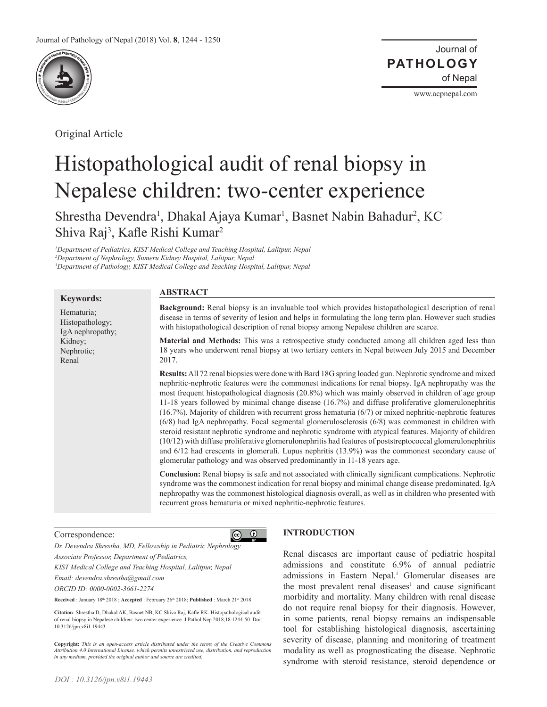

Original Article

Journal of of Nepal **PATHOLOGY**

www.acpnepal.com

# Histopathological audit of renal biopsy in Nepalese children: two-center experience

Shrestha Devendra<sup>1</sup>, Dhakal Ajaya Kumar<sup>1</sup>, Basnet Nabin Bahadur<sup>2</sup>, KC Shiva Raj<sup>3</sup>, Kafle Rishi Kumar<sup>2</sup>

*1 Department of Pediatrics, KIST Medical College and Teaching Hospital, Lalitpur, Nepal 2 Department of Nephrology, Sumeru Kidney Hospital, Lalitpur, Nepal 3 Department of Pathology, KIST Medical College and Teaching Hospital, Lalitpur, Nepal*

#### **Keywords: ABSTRACT**

| <b>Reywords:</b>                                                                    |                                                                                                                                                                                                                                                                                                                                                                                                                                                                                                                                                                                                                                                                                                                                                                                                                                                                                                                                                                                                                                                                                  |
|-------------------------------------------------------------------------------------|----------------------------------------------------------------------------------------------------------------------------------------------------------------------------------------------------------------------------------------------------------------------------------------------------------------------------------------------------------------------------------------------------------------------------------------------------------------------------------------------------------------------------------------------------------------------------------------------------------------------------------------------------------------------------------------------------------------------------------------------------------------------------------------------------------------------------------------------------------------------------------------------------------------------------------------------------------------------------------------------------------------------------------------------------------------------------------|
| Hematuria;<br>Histopathology;<br>IgA nephropathy;<br>Kidney;<br>Nephrotic;<br>Renal | <b>Background:</b> Renal biopsy is an invaluable tool which provides histopathological description of renal<br>disease in terms of severity of lesion and helps in formulating the long term plan. However such studies<br>with histopathological description of renal biopsy among Nepalese children are scarce.                                                                                                                                                                                                                                                                                                                                                                                                                                                                                                                                                                                                                                                                                                                                                                |
|                                                                                     | <b>Material and Methods:</b> This was a retrospective study conducted among all children aged less than<br>18 years who underwent renal biopsy at two tertiary centers in Nepal between July 2015 and December<br>2017.                                                                                                                                                                                                                                                                                                                                                                                                                                                                                                                                                                                                                                                                                                                                                                                                                                                          |
|                                                                                     | <b>Results:</b> All 72 renal biopsies were done with Bard 18G spring loaded gun. Nephrotic syndrome and mixed<br>nephritic-nephrotic features were the commonest indications for renal biopsy. IgA nephropathy was the<br>most frequent histopathological diagnosis (20.8%) which was mainly observed in children of age group<br>11-18 years followed by minimal change disease (16.7%) and diffuse proliferative glomerulonephritis<br>$(16.7%)$ . Majority of children with recurrent gross hematuria $(6/7)$ or mixed nephritic-nephrotic features<br>$(6/8)$ had IgA nephropathy. Focal segmental glomerulosclerosis $(6/8)$ was commonest in children with<br>steroid resistant nephrotic syndrome and nephrotic syndrome with atypical features. Majority of children<br>(10/12) with diffuse proliferative glomerulone phritis had features of poststreptococcal glomerulone phritis<br>and $6/12$ had crescents in glomeruli. Lupus nephritis $(13.9%)$ was the commonest secondary cause of<br>glomerular pathology and was observed predominantly in 11-18 years age. |
|                                                                                     | Conclusion: Renal biopsy is safe and not associated with clinically significant complications. Nephrotic<br>syndrome was the commonest indication for renal biopsy and minimal change disease predominated. IgA<br>nephropathy was the commonest histological diagnosis overall, as well as in children who presented with<br>recurrent gross hematuria or mixed nephritic-nephrotic features.                                                                                                                                                                                                                                                                                                                                                                                                                                                                                                                                                                                                                                                                                   |

#### Correspondence:



*Dr. Devendra Shrestha, MD, Fellowship in Pediatric Nephrology Associate Professor, Department of Pediatrics,*

*KIST Medical College and Teaching Hospital, Lalitpur, Nepal*

*Email: devendra.shrestha@gmail.com*

*ORCID ID: 0000-0002-3661-2274*

**Received** : January 18th 2018 ; **Accepted** : February 26th 2018; **Published** : March 21st 2018

**Citation**: Shrestha D, Dhakal AK, Basnet NB, KC Shiva Raj, Kafle RK. Histopathological audit of renal biopsy in Nepalese children: two center experience. J Pathol Nep 2018;18:1244-50. Doi: 10.3126/jpn.v8i1.19443

**Copyright:** *This is an open-access article distributed under the terms of the Creative Commons Attribution 4.0 International License, which permits unrestricted use, distribution, and reproduction in any medium, provided the original author and source are credited.*

# **INTRODUCTION**

Renal diseases are important cause of pediatric hospital admissions and constitute 6.9% of annual pediatric admissions in Eastern Nepal.<sup>1</sup> Glomerular diseases are the most prevalent renal diseases<sup>1</sup> and cause significant morbidity and mortality. Many children with renal disease do not require renal biopsy for their diagnosis. However, in some patients, renal biopsy remains an indispensable tool for establishing histological diagnosis, ascertaining severity of disease, planning and monitoring of treatment modality as well as prognosticating the disease. Nephrotic syndrome with steroid resistance, steroid dependence or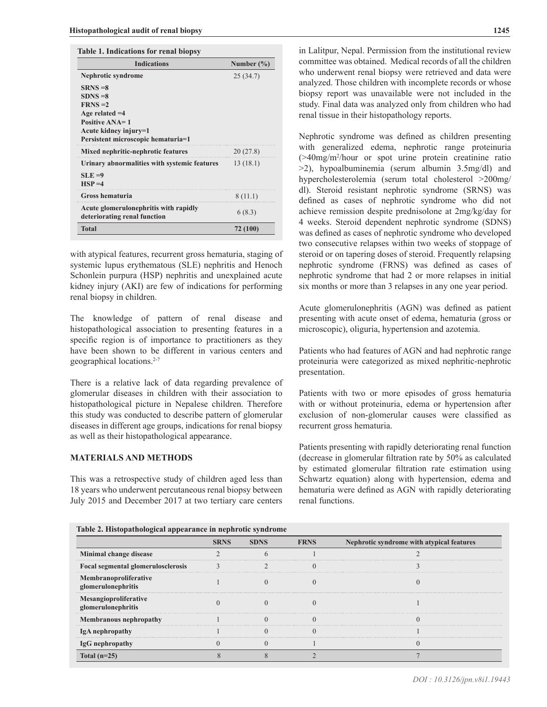| <b>Indications</b>                           | Number $(\% )$ |
|----------------------------------------------|----------------|
| Nephrotic syndrome                           | 25(34.7)       |
| $SRNS = 8$                                   |                |
| $SDNS = 8$                                   |                |
| $FRNS = 2$                                   |                |
| Age related $=4$                             |                |
| <b>Positive ANA=1</b>                        |                |
| Acute kidney injury=1                        |                |
| Persistent microscopic hematuria=1           |                |
| Mixed nephritic-nephrotic features           | 20(27.8)       |
| Urinary abnormalities with systemic features | 13(18.1)       |
| $SLE = 9$                                    |                |
| $HSP = 4$                                    |                |
| Gross hematuria                              | 8(11.1)        |
| Acute glomerulonephritis with rapidly        | 6(8.3)         |
| deteriorating renal function                 |                |
| <b>Total</b>                                 | 72 (100)       |

with atypical features, recurrent gross hematuria, staging of systemic lupus erythematous (SLE) nephritis and Henoch Schonlein purpura (HSP) nephritis and unexplained acute kidney injury (AKI) are few of indications for performing renal biopsy in children.

The knowledge of pattern of renal disease and histopathological association to presenting features in a specific region is of importance to practitioners as they have been shown to be different in various centers and geographical locations.2-7

There is a relative lack of data regarding prevalence of glomerular diseases in children with their association to histopathological picture in Nepalese children. Therefore this study was conducted to describe pattern of glomerular diseases in different age groups, indications for renal biopsy as well as their histopathological appearance.

### **MATERIALS AND METHODS**

This was a retrospective study of children aged less than 18 years who underwent percutaneous renal biopsy between July 2015 and December 2017 at two tertiary care centers

Nephrotic syndrome was defined as children presenting with generalized edema, nephrotic range proteinuria (>40mg/m2 /hour or spot urine protein creatinine ratio >2), hypoalbuminemia (serum albumin 3.5mg/dl) and hypercholesterolemia (serum total cholesterol >200mg/ dl). Steroid resistant nephrotic syndrome (SRNS) was defined as cases of nephrotic syndrome who did not achieve remission despite prednisolone at 2mg/kg/day for 4 weeks. Steroid dependent nephrotic syndrome (SDNS) was defined as cases of nephrotic syndrome who developed two consecutive relapses within two weeks of stoppage of steroid or on tapering doses of steroid. Frequently relapsing nephrotic syndrome (FRNS) was defined as cases of nephrotic syndrome that had 2 or more relapses in initial six months or more than 3 relapses in any one year period.

Acute glomerulonephritis (AGN) was defined as patient presenting with acute onset of edema, hematuria (gross or microscopic), oliguria, hypertension and azotemia.

Patients who had features of AGN and had nephrotic range proteinuria were categorized as mixed nephritic-nephrotic presentation.

Patients with two or more episodes of gross hematuria with or without proteinuria, edema or hypertension after exclusion of non-glomerular causes were classified as recurrent gross hematuria.

Patients presenting with rapidly deteriorating renal function (decrease in glomerular filtration rate by 50% as calculated by estimated glomerular filtration rate estimation using Schwartz equation) along with hypertension, edema and hematuria were defined as AGN with rapidly deteriorating renal functions.

| Table 2. Histopathological appearance in nephrotic syndrome |  |             |             |                                           |  |  |  |
|-------------------------------------------------------------|--|-------------|-------------|-------------------------------------------|--|--|--|
|                                                             |  | <b>SDNS</b> | <b>FRNS</b> | Nephrotic syndrome with atypical features |  |  |  |
| Minimal change disease                                      |  |             |             |                                           |  |  |  |
| Focal segmental glomerulosclerosis                          |  |             |             |                                           |  |  |  |
| <b>Membranoproliferative</b><br>glomerulonephritis          |  |             |             |                                           |  |  |  |
| Mesangioproliferative<br>glomerulonephritis                 |  |             |             |                                           |  |  |  |
| <b>Membranous nephropathy</b>                               |  |             |             |                                           |  |  |  |
| <b>IgA</b> nephropathy                                      |  |             |             |                                           |  |  |  |
| IgG nephropathy                                             |  |             |             |                                           |  |  |  |
|                                                             |  |             |             |                                           |  |  |  |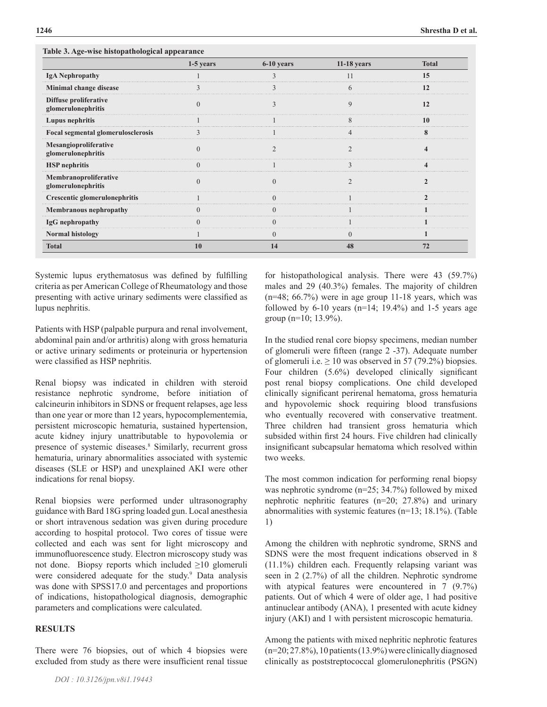|                                             | 1-5 years | 6-10 years | $11-18$ years | <b>Total</b> |
|---------------------------------------------|-----------|------------|---------------|--------------|
| IgA Nephropathy                             |           |            |               | 15           |
| Minimal change disease                      |           |            |               | 12           |
| Diffuse proliferative<br>glomerulonephritis |           |            | Q             | 12           |
| <b>Lupus nephritis</b>                      |           |            |               |              |
| Focal segmental glomerulosclerosis          |           |            |               |              |
| Mesangioproliferative<br>glomerulonephritis |           |            |               |              |
| <b>HSP</b> nephritis                        |           |            |               |              |
| Membranoproliferative<br>glomerulonephritis |           |            |               |              |
| Crescentic glomerulonephritis               |           |            |               |              |
| <b>Membranous nephropathy</b>               |           |            |               |              |
| IgG nephropathy                             |           |            |               |              |
| <b>Normal histology</b>                     |           |            |               |              |
| <b>Total</b>                                | 10        | 14         | 48            | 72           |

**Table 3. Age-wise histopathological appearance** 

Systemic lupus erythematosus was defined by fulfilling criteria as per American College of Rheumatology and those presenting with active urinary sediments were classified as lupus nephritis.

Patients with HSP (palpable purpura and renal involvement, abdominal pain and/or arthritis) along with gross hematuria or active urinary sediments or proteinuria or hypertension were classified as HSP nephritis.

Renal biopsy was indicated in children with steroid resistance nephrotic syndrome, before initiation of calcineurin inhibitors in SDNS or frequent relapses, age less than one year or more than 12 years, hypocomplementemia, persistent microscopic hematuria, sustained hypertension, acute kidney injury unattributable to hypovolemia or presence of systemic diseases.<sup>8</sup> Similarly, recurrent gross hematuria, urinary abnormalities associated with systemic diseases (SLE or HSP) and unexplained AKI were other indications for renal biopsy.

Renal biopsies were performed under ultrasonography guidance with Bard 18G spring loaded gun. Local anesthesia or short intravenous sedation was given during procedure according to hospital protocol. Two cores of tissue were collected and each was sent for light microscopy and immunofluorescence study. Electron microscopy study was not done. Biopsy reports which included ≥10 glomeruli were considered adequate for the study.<sup>9</sup> Data analysis was done with SPSS17.0 and percentages and proportions of indications, histopathological diagnosis, demographic parameters and complications were calculated.

#### **RESULTS**

There were 76 biopsies, out of which 4 biopsies were excluded from study as there were insufficient renal tissue

*DOI : 10.3126/jpn.v8i1.19443*

for histopathological analysis. There were 43 (59.7%) males and 29 (40.3%) females. The majority of children  $(n=48; 66.7%)$  were in age group 11-18 years, which was followed by  $6-10$  years (n=14; 19.4%) and 1-5 years age group (n=10; 13.9%).

In the studied renal core biopsy specimens, median number of glomeruli were fifteen (range 2 -37). Adequate number of glomeruli i.e.  $\geq 10$  was observed in 57 (79.2%) biopsies. Four children (5.6%) developed clinically significant post renal biopsy complications. One child developed clinically significant perirenal hematoma, gross hematuria and hypovolemic shock requiring blood transfusions who eventually recovered with conservative treatment. Three children had transient gross hematuria which subsided within first 24 hours. Five children had clinically insignificant subcapsular hematoma which resolved within two weeks.

The most common indication for performing renal biopsy was nephrotic syndrome (n=25; 34.7%) followed by mixed nephrotic nephritic features (n=20; 27.8%) and urinary abnormalities with systemic features (n=13; 18.1%). (Table 1)

Among the children with nephrotic syndrome, SRNS and SDNS were the most frequent indications observed in 8 (11.1%) children each. Frequently relapsing variant was seen in 2 (2.7%) of all the children. Nephrotic syndrome with atypical features were encountered in 7 (9.7%) patients. Out of which 4 were of older age, 1 had positive antinuclear antibody (ANA), 1 presented with acute kidney injury (AKI) and 1 with persistent microscopic hematuria.

Among the patients with mixed nephritic nephrotic features (n=20; 27.8%), 10 patients (13.9%) were clinically diagnosed clinically as poststreptococcal glomerulonephritis (PSGN)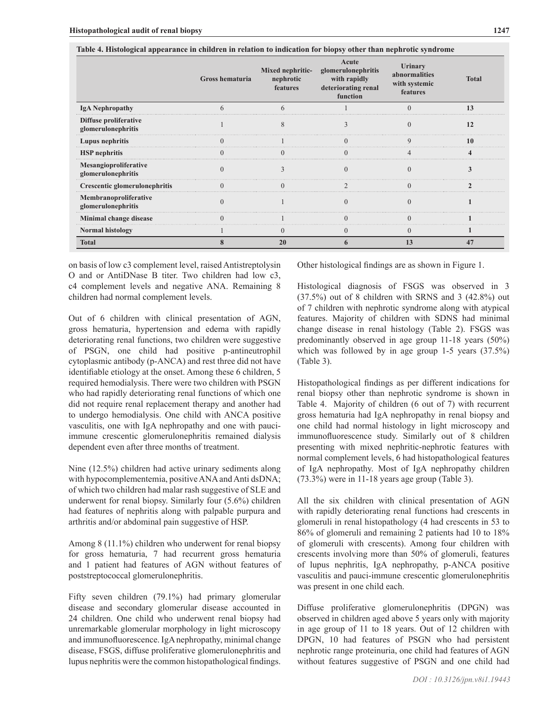|                                             | Gross hematuria | Mixed nephritic-<br>nephrotic<br>features | Acute<br>glomerulonephritis<br>with rapidly<br>deteriorating renal<br>function | Urinary<br>abnormalities<br>with systemic<br>features | <b>Total</b> |
|---------------------------------------------|-----------------|-------------------------------------------|--------------------------------------------------------------------------------|-------------------------------------------------------|--------------|
| <b>IgA Nephropathy</b>                      |                 |                                           |                                                                                |                                                       | 13           |
| Diffuse proliferative<br>glomerulonephritis |                 |                                           |                                                                                |                                                       | 12           |
| Lupus nephritis                             |                 |                                           |                                                                                |                                                       |              |
| <b>HSP</b> nephritis                        |                 |                                           |                                                                                |                                                       |              |
| Mesangioproliferative<br>glomerulonephritis |                 |                                           |                                                                                |                                                       |              |
| Crescentic glomerulonephritis               |                 |                                           |                                                                                |                                                       |              |
| Membranoproliferative<br>glomerulonephritis |                 |                                           |                                                                                |                                                       |              |
| Minimal change disease                      |                 |                                           |                                                                                |                                                       |              |
| <b>Normal histology</b>                     |                 | $\mathbf{U}$                              | $\theta$                                                                       | $\cup$                                                |              |
| Total                                       |                 | 20                                        |                                                                                | 13                                                    | 47           |

on basis of low c3 complement level, raised Antistreptolysin O and or AntiDNase B titer. Two children had low c3, c4 complement levels and negative ANA. Remaining 8 children had normal complement levels.

Out of 6 children with clinical presentation of AGN, gross hematuria, hypertension and edema with rapidly deteriorating renal functions, two children were suggestive of PSGN, one child had positive p-antineutrophil cytoplasmic antibody (p-ANCA) and rest three did not have identifiable etiology at the onset. Among these 6 children, 5 required hemodialysis. There were two children with PSGN who had rapidly deteriorating renal functions of which one did not require renal replacement therapy and another had to undergo hemodialysis. One child with ANCA positive vasculitis, one with IgA nephropathy and one with pauciimmune crescentic glomerulonephritis remained dialysis dependent even after three months of treatment.

Nine (12.5%) children had active urinary sediments along with hypocomplementemia, positive ANA and Anti dsDNA; of which two children had malar rash suggestive of SLE and underwent for renal biopsy. Similarly four (5.6%) children had features of nephritis along with palpable purpura and arthritis and/or abdominal pain suggestive of HSP.

Among 8 (11.1%) children who underwent for renal biopsy for gross hematuria, 7 had recurrent gross hematuria and 1 patient had features of AGN without features of poststreptococcal glomerulonephritis.

Fifty seven children (79.1%) had primary glomerular disease and secondary glomerular disease accounted in 24 children. One child who underwent renal biopsy had unremarkable glomerular morphology in light microscopy and immunofluorescence. IgA nephropathy, minimal change disease, FSGS, diffuse proliferative glomerulonephritis and lupus nephritis were the common histopathological findings. Other histological findings are as shown in Figure 1.

Histological diagnosis of FSGS was observed in 3  $(37.5\%)$  out of 8 children with SRNS and 3  $(42.8\%)$  out of 7 children with nephrotic syndrome along with atypical features. Majority of children with SDNS had minimal change disease in renal histology (Table 2). FSGS was predominantly observed in age group 11-18 years (50%) which was followed by in age group 1-5 years (37.5%) (Table 3).

Histopathological findings as per different indications for renal biopsy other than nephrotic syndrome is shown in Table 4. Majority of children (6 out of 7) with recurrent gross hematuria had IgA nephropathy in renal biopsy and one child had normal histology in light microscopy and immunofluorescence study. Similarly out of 8 children presenting with mixed nephritic-nephrotic features with normal complement levels, 6 had histopathological features of IgA nephropathy. Most of IgA nephropathy children (73.3%) were in 11-18 years age group (Table 3).

All the six children with clinical presentation of AGN with rapidly deteriorating renal functions had crescents in glomeruli in renal histopathology (4 had crescents in 53 to 86% of glomeruli and remaining 2 patients had 10 to 18% of glomeruli with crescents). Among four children with crescents involving more than 50% of glomeruli, features of lupus nephritis, IgA nephropathy, p-ANCA positive vasculitis and pauci-immune crescentic glomerulonephritis was present in one child each.

Diffuse proliferative glomerulonephritis (DPGN) was observed in children aged above 5 years only with majority in age group of 11 to 18 years. Out of 12 children with DPGN, 10 had features of PSGN who had persistent nephrotic range proteinuria, one child had features of AGN without features suggestive of PSGN and one child had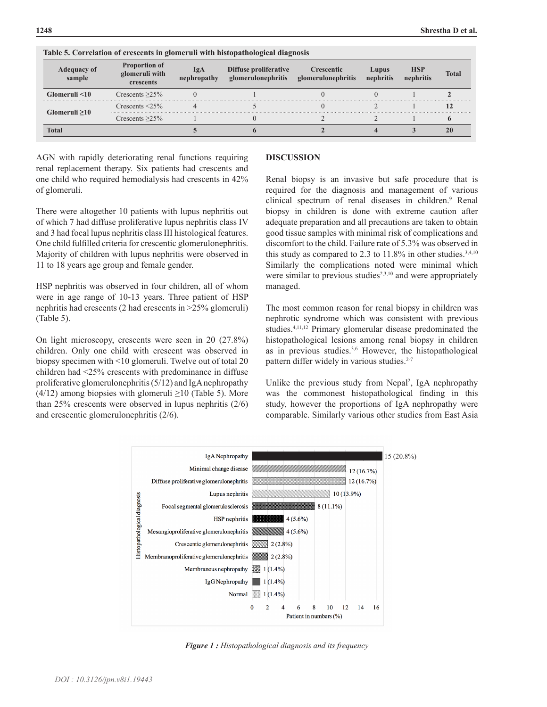|               | <b>Proportion of</b><br>glomeruli with<br>crescents | <u>IgA</u><br>nhronathv<br>ner | Diffuse proliferative<br>glomerulonephritis | <b>Crescentic</b><br>glomerulonephritis | Lupus<br>nephritis | <b>HSI</b><br>nephritis | Total |
|---------------|-----------------------------------------------------|--------------------------------|---------------------------------------------|-----------------------------------------|--------------------|-------------------------|-------|
| Glomeruli <10 | Crescents $\geq$ 25%                                |                                |                                             |                                         |                    |                         |       |
| Glomeruli >10 | Crescents $\leq 25\%$                               |                                |                                             |                                         |                    |                         |       |
|               | Crescents $>25\%$                                   |                                |                                             |                                         |                    |                         |       |
| Fotal         |                                                     |                                |                                             |                                         |                    |                         |       |

|  | Table 5. Correlation of crescents in glomeruli with histopathological diagnosis |  |
|--|---------------------------------------------------------------------------------|--|
|  |                                                                                 |  |

AGN with rapidly deteriorating renal functions requiring renal replacement therapy. Six patients had crescents and one child who required hemodialysis had crescents in 42% of glomeruli.

There were altogether 10 patients with lupus nephritis out of which 7 had diffuse proliferative lupus nephritis class IV and 3 had focal lupus nephritis class III histological features. One child fulfilled criteria for crescentic glomerulonephritis. Majority of children with lupus nephritis were observed in 11 to 18 years age group and female gender.

HSP nephritis was observed in four children, all of whom were in age range of 10-13 years. Three patient of HSP nephritis had crescents (2 had crescents in >25% glomeruli) (Table 5).

On light microscopy, crescents were seen in 20 (27.8%) children. Only one child with crescent was observed in biopsy specimen with <10 glomeruli. Twelve out of total 20 children had <25% crescents with predominance in diffuse proliferative glomerulonephritis (5/12) and IgA nephropathy (4/12) among biopsies with glomeruli  $\geq$ 10 (Table 5). More than 25% crescents were observed in lupus nephritis (2/6) and crescentic glomerulonephritis (2/6).

#### **DISCUSSION**

Renal biopsy is an invasive but safe procedure that is required for the diagnosis and management of various clinical spectrum of renal diseases in children.<sup>9</sup> Renal biopsy in children is done with extreme caution after adequate preparation and all precautions are taken to obtain good tissue samples with minimal risk of complications and discomfort to the child. Failure rate of 5.3% was observed in this study as compared to 2.3 to  $11.8\%$  in other studies.<sup>3,4,10</sup> Similarly the complications noted were minimal which were similar to previous studies $2,3,10$  and were appropriately managed.

The most common reason for renal biopsy in children was nephrotic syndrome which was consistent with previous studies.4,11,12 Primary glomerular disease predominated the histopathological lesions among renal biopsy in children as in previous studies. $3,6$  However, the histopathological pattern differ widely in various studies.<sup>2-7</sup>

Unlike the previous study from Nepal<sup>2</sup>, IgA nephropathy was the commonest histopathological finding in this study, however the proportions of IgA nephropathy were comparable. Similarly various other studies from East Asia



*Figure 1 : Histopathological diagnosis and its frequency*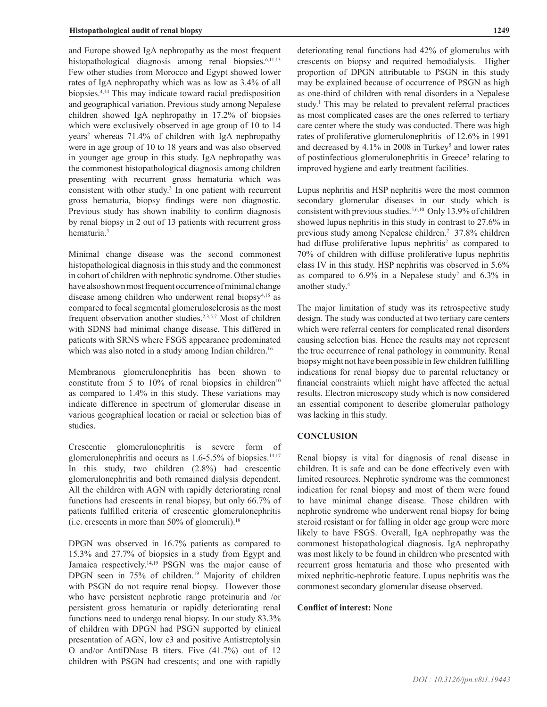and Europe showed IgA nephropathy as the most frequent histopathological diagnosis among renal biopsies.<sup>6,11,13</sup> Few other studies from Morocco and Egypt showed lower rates of IgA nephropathy which was as low as 3.4% of all biopsies.4,14 This may indicate toward racial predisposition and geographical variation. Previous study among Nepalese children showed IgA nephropathy in 17.2% of biopsies which were exclusively observed in age group of 10 to 14 years2 whereas 71.4% of children with IgA nephropathy were in age group of 10 to 18 years and was also observed in younger age group in this study. IgA nephropathy was the commonest histopathological diagnosis among children presenting with recurrent gross hematuria which was consistent with other study. $3$  In one patient with recurrent gross hematuria, biopsy findings were non diagnostic. Previous study has shown inability to confirm diagnosis by renal biopsy in 2 out of 13 patients with recurrent gross hematuria.3

Minimal change disease was the second commonest histopathological diagnosis in this study and the commonest in cohort of children with nephrotic syndrome. Other studies have also shown most frequent occurrence of minimal change disease among children who underwent renal biopsy<sup>4,15</sup> as compared to focal segmental glomerulosclerosis as the most frequent observation another studies.2,3,5,7 Most of children with SDNS had minimal change disease. This differed in patients with SRNS where FSGS appearance predominated which was also noted in a study among Indian children.<sup>16</sup>

Membranous glomerulonephritis has been shown to constitute from 5 to  $10\%$  of renal biopsies in children<sup>10</sup> as compared to 1.4% in this study. These variations may indicate difference in spectrum of glomerular disease in various geographical location or racial or selection bias of studies.

Crescentic glomerulonephritis is severe form of glomerulonephritis and occurs as 1.6-5.5% of biopsies.<sup>14,17</sup> In this study, two children (2.8%) had crescentic glomerulonephritis and both remained dialysis dependent. All the children with AGN with rapidly deteriorating renal functions had crescents in renal biopsy, but only 66.7% of patients fulfilled criteria of crescentic glomerulonephritis (i.e. crescents in more than  $50\%$  of glomeruli).<sup>18</sup>

DPGN was observed in 16.7% patients as compared to 15.3% and 27.7% of biopsies in a study from Egypt and Jamaica respectively.<sup>14,19</sup> PSGN was the major cause of DPGN seen in 75% of children.<sup>19</sup> Majority of children with PSGN do not require renal biopsy. However those who have persistent nephrotic range proteinuria and /or persistent gross hematuria or rapidly deteriorating renal functions need to undergo renal biopsy. In our study 83.3% of children with DPGN had PSGN supported by clinical presentation of AGN, low c3 and positive Antistreptolysin O and/or AntiDNase B titers. Five (41.7%) out of 12 children with PSGN had crescents; and one with rapidly

deteriorating renal functions had 42% of glomerulus with crescents on biopsy and required hemodialysis. Higher proportion of DPGN attributable to PSGN in this study may be explained because of occurrence of PSGN as high as one-third of children with renal disorders in a Nepalese study.<sup>1</sup> This may be related to prevalent referral practices as most complicated cases are the ones referred to tertiary care center where the study was conducted. There was high rates of proliferative glomerulonephritis of 12.6% in 1991 and decreased by  $4.1\%$  in 2008 in Turkey<sup>5</sup> and lower rates of postinfectious glomerulonephritis in Greece<sup>3</sup> relating to improved hygiene and early treatment facilities.

Lupus nephritis and HSP nephritis were the most common secondary glomerular diseases in our study which is consistent with previous studies.<sup>5,6,10</sup> Only 13.9% of children showed lupus nephritis in this study in contrast to 27.6% in previous study among Nepalese children.<sup>2</sup> 37.8% children had diffuse proliferative lupus nephritis<sup>2</sup> as compared to 70% of children with diffuse proliferative lupus nephritis class IV in this study. HSP nephritis was observed in 5.6% as compared to  $6.9\%$  in a Nepalese study<sup>2</sup> and  $6.3\%$  in another study.4

The major limitation of study was its retrospective study design. The study was conducted at two tertiary care centers which were referral centers for complicated renal disorders causing selection bias. Hence the results may not represent the true occurrence of renal pathology in community. Renal biopsy might not have been possible in few children fulfilling indications for renal biopsy due to parental reluctancy or financial constraints which might have affected the actual results. Electron microscopy study which is now considered an essential component to describe glomerular pathology was lacking in this study.

### **CONCLUSION**

Renal biopsy is vital for diagnosis of renal disease in children. It is safe and can be done effectively even with limited resources. Nephrotic syndrome was the commonest indication for renal biopsy and most of them were found to have minimal change disease. Those children with nephrotic syndrome who underwent renal biopsy for being steroid resistant or for falling in older age group were more likely to have FSGS. Overall, IgA nephropathy was the commonest histopathological diagnosis. IgA nephropathy was most likely to be found in children who presented with recurrent gross hematuria and those who presented with mixed nephritic-nephrotic feature. Lupus nephritis was the commonest secondary glomerular disease observed.

#### **Conflict of interest:** None